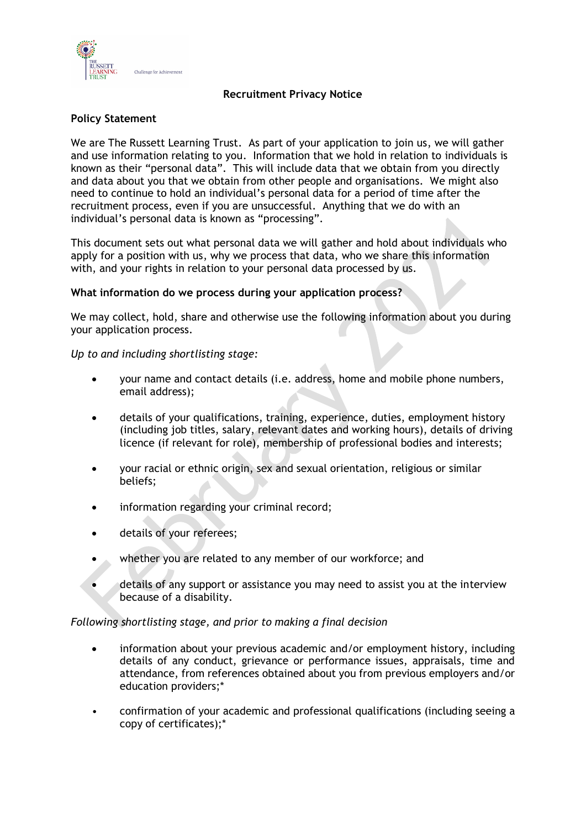

# **Recruitment Privacy Notice**

# **Policy Statement**

We are The Russett Learning Trust. As part of your application to join us, we will gather and use information relating to you. Information that we hold in relation to individuals is known as their "personal data". This will include data that we obtain from you directly and data about you that we obtain from other people and organisations. We might also need to continue to hold an individual's personal data for a period of time after the recruitment process, even if you are unsuccessful. Anything that we do with an individual's personal data is known as "processing".

This document sets out what personal data we will gather and hold about individuals who apply for a position with us, why we process that data, who we share this information with, and your rights in relation to your personal data processed by us.

# **What information do we process during your application process?**

We may collect, hold, share and otherwise use the following information about you during your application process.

*Up to and including shortlisting stage:*

- your name and contact details (i.e. address, home and mobile phone numbers, email address);
- details of your qualifications, training, experience, duties, employment history (including job titles, salary, relevant dates and working hours), details of driving licence (if relevant for role), membership of professional bodies and interests;
- your racial or ethnic origin, sex and sexual orientation, religious or similar beliefs;
- information regarding your criminal record;
- details of your referees;
- whether you are related to any member of our workforce; and
- details of any support or assistance you may need to assist you at the interview because of a disability.

# *Following shortlisting stage, and prior to making a final decision*

- information about your previous academic and/or employment history, including details of any conduct, grievance or performance issues, appraisals, time and attendance, from references obtained about you from previous employers and/or education providers;\*
- confirmation of your academic and professional qualifications (including seeing a copy of certificates);\*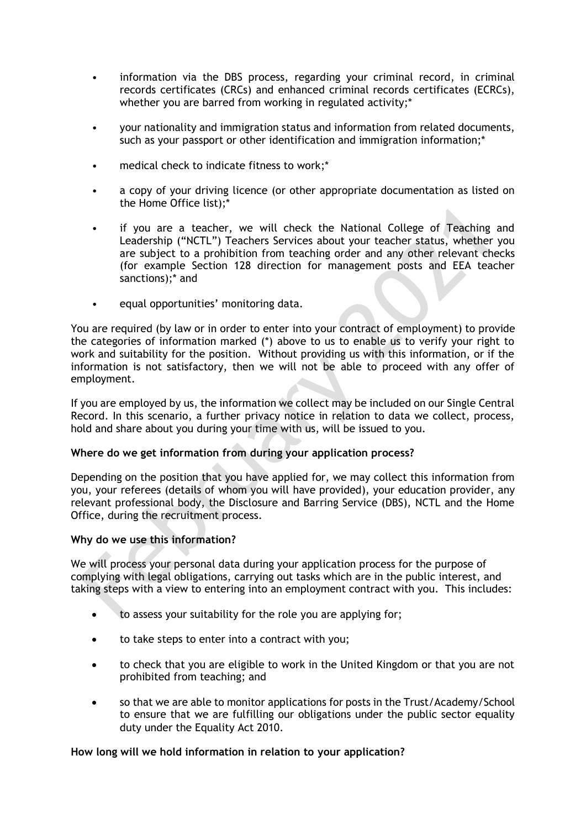- information via the DBS process, regarding your criminal record, in criminal records certificates (CRCs) and enhanced criminal records certificates (ECRCs), whether you are barred from working in regulated activity;\*
- your nationality and immigration status and information from related documents, such as your passport or other identification and immigration information;\*
- medical check to indicate fitness to work;\*
- a copy of your driving licence (or other appropriate documentation as listed on the Home Office list);\*
- if you are a teacher, we will check the National College of Teaching and Leadership ("NCTL") Teachers Services about your teacher status, whether you are subject to a prohibition from teaching order and any other relevant checks (for example Section 128 direction for management posts and EEA teacher sanctions);\* and
- equal opportunities' monitoring data.

You are required (by law or in order to enter into your contract of employment) to provide the categories of information marked (\*) above to us to enable us to verify your right to work and suitability for the position. Without providing us with this information, or if the information is not satisfactory, then we will not be able to proceed with any offer of employment.

If you are employed by us, the information we collect may be included on our Single Central Record. In this scenario, a further privacy notice in relation to data we collect, process, hold and share about you during your time with us, will be issued to you.

#### **Where do we get information from during your application process?**

Depending on the position that you have applied for, we may collect this information from you, your referees (details of whom you will have provided), your education provider, any relevant professional body, the Disclosure and Barring Service (DBS), NCTL and the Home Office, during the recruitment process.

#### **Why do we use this information?**

We will process your personal data during your application process for the purpose of complying with legal obligations, carrying out tasks which are in the public interest, and taking steps with a view to entering into an employment contract with you. This includes:

- to assess your suitability for the role you are applying for;
- to take steps to enter into a contract with you;
- to check that you are eligible to work in the United Kingdom or that you are not prohibited from teaching; and
- so that we are able to monitor applications for posts in the Trust/Academy/School to ensure that we are fulfilling our obligations under the public sector equality duty under the Equality Act 2010.

#### **How long will we hold information in relation to your application?**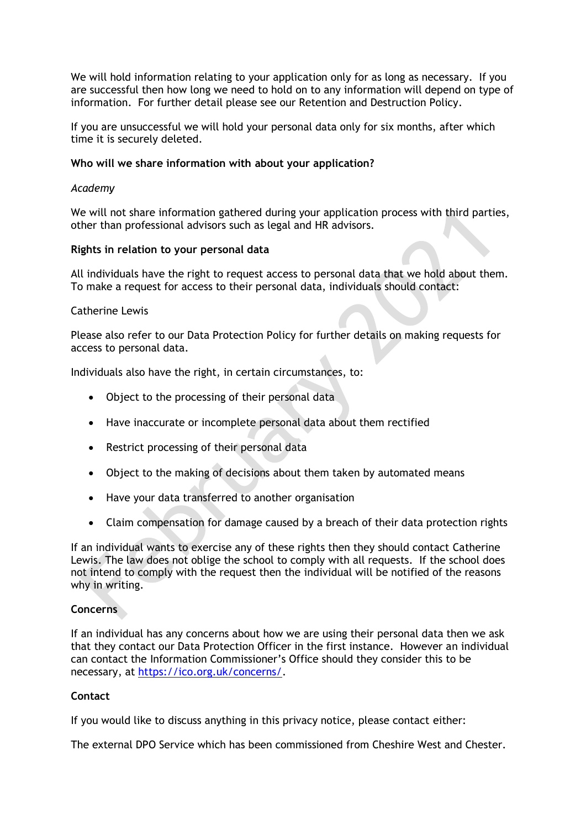We will hold information relating to your application only for as long as necessary. If you are successful then how long we need to hold on to any information will depend on type of information. For further detail please see our Retention and Destruction Policy.

If you are unsuccessful we will hold your personal data only for six months, after which time it is securely deleted.

### **Who will we share information with about your application?**

### *Academy*

We will not share information gathered during your application process with third parties, other than professional advisors such as legal and HR advisors.

### **Rights in relation to your personal data**

All individuals have the right to request access to personal data that we hold about them. To make a request for access to their personal data, individuals should contact:

### Catherine Lewis

Please also refer to our Data Protection Policy for further details on making requests for access to personal data.

Individuals also have the right, in certain circumstances, to:

- Object to the processing of their personal data
- Have inaccurate or incomplete personal data about them rectified
- Restrict processing of their personal data
- Object to the making of decisions about them taken by automated means
- Have your data transferred to another organisation
- Claim compensation for damage caused by a breach of their data protection rights

If an individual wants to exercise any of these rights then they should contact Catherine Lewis. The law does not oblige the school to comply with all requests. If the school does not intend to comply with the request then the individual will be notified of the reasons why in writing.

# **Concerns**

If an individual has any concerns about how we are using their personal data then we ask that they contact our Data Protection Officer in the first instance. However an individual can contact the Information Commissioner's Office should they consider this to be necessary, at [https://ico.org.uk/concerns/.](https://ico.org.uk/concerns/)

# **Contact**

If you would like to discuss anything in this privacy notice, please contact either:

The external DPO Service which has been commissioned from Cheshire West and Chester.